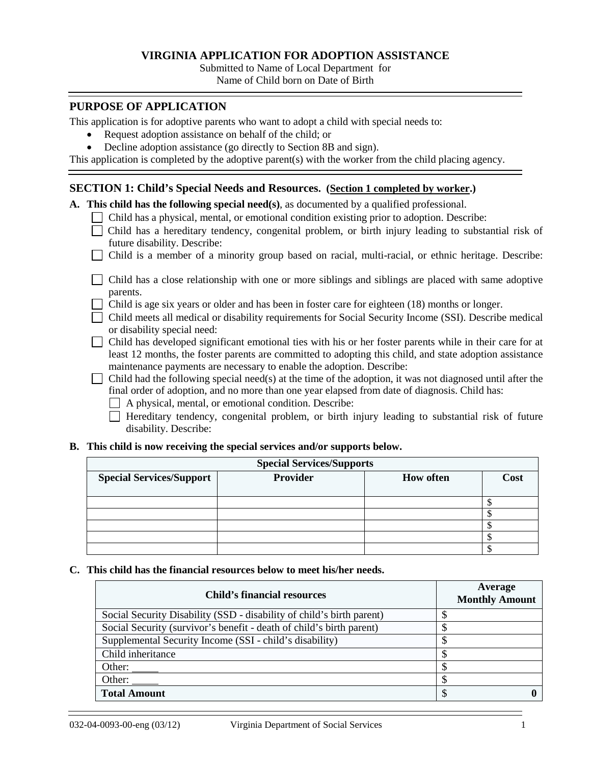## **VIRGINIA APPLICATION FOR ADOPTION ASSISTANCE**

Submitted to Name of Local Department for Name of Child born on Date of Birth

## **PURPOSE OF APPLICATION**

This application is for adoptive parents who want to adopt a child with special needs to:

- Request adoption assistance on behalf of the child; or
- Decline adoption assistance (go directly to Section 8B and sign).

This application is completed by the adoptive parent(s) with the worker from the child placing agency.

# **SECTION 1: Child's Special Needs and Resources. (Section 1 completed by worker.)**

**A. This child has the following special need(s)**, as documented by a qualified professional.

- Child has a physical, mental, or emotional condition existing prior to adoption. Describe:
- Child has a hereditary tendency, congenital problem, or birth injury leading to substantial risk of future disability. Describe:
- Child is a member of a minority group based on racial, multi-racial, or ethnic heritage. Describe:

| □ Child has a close relationship with one or more siblings and siblings are placed with same adoptive |  |  |  |  |  |  |  |
|-------------------------------------------------------------------------------------------------------|--|--|--|--|--|--|--|
| parents.                                                                                              |  |  |  |  |  |  |  |

- Child is age six years or older and has been in foster care for eighteen  $(18)$  months or longer.
- Child meets all medical or disability requirements for Social Security Income (SSI). Describe medical or disability special need:
- $\Box$  Child has developed significant emotional ties with his or her foster parents while in their care for at least 12 months, the foster parents are committed to adopting this child, and state adoption assistance maintenance payments are necessary to enable the adoption. Describe:
- Child had the following special need(s) at the time of the adoption, it was not diagnosed until after the final order of adoption, and no more than one year elapsed from date of diagnosis. Child has:
	- A physical, mental, or emotional condition. Describe:
	- $\Box$  Hereditary tendency, congenital problem, or birth injury leading to substantial risk of future disability. Describe:

#### **B. This child is now receiving the special services and/or supports below.**

| <b>Special Services/Supports</b> |          |                  |      |  |  |  |  |  |  |
|----------------------------------|----------|------------------|------|--|--|--|--|--|--|
| <b>Special Services/Support</b>  | Provider | <b>How often</b> | Cost |  |  |  |  |  |  |
|                                  |          |                  |      |  |  |  |  |  |  |
|                                  |          |                  |      |  |  |  |  |  |  |
|                                  |          |                  |      |  |  |  |  |  |  |
|                                  |          |                  |      |  |  |  |  |  |  |
|                                  |          |                  |      |  |  |  |  |  |  |
|                                  |          |                  |      |  |  |  |  |  |  |

## **C. This child has the financial resources below to meet his/her needs.**

| <b>Child's financial resources</b>                                    | Average<br><b>Monthly Amount</b> |
|-----------------------------------------------------------------------|----------------------------------|
| Social Security Disability (SSD - disability of child's birth parent) | D                                |
| Social Security (survivor's benefit - death of child's birth parent)  |                                  |
| Supplemental Security Income (SSI - child's disability)               | S                                |
| Child inheritance                                                     |                                  |
| Other:                                                                |                                  |
| Other:                                                                |                                  |
| <b>Total Amount</b>                                                   |                                  |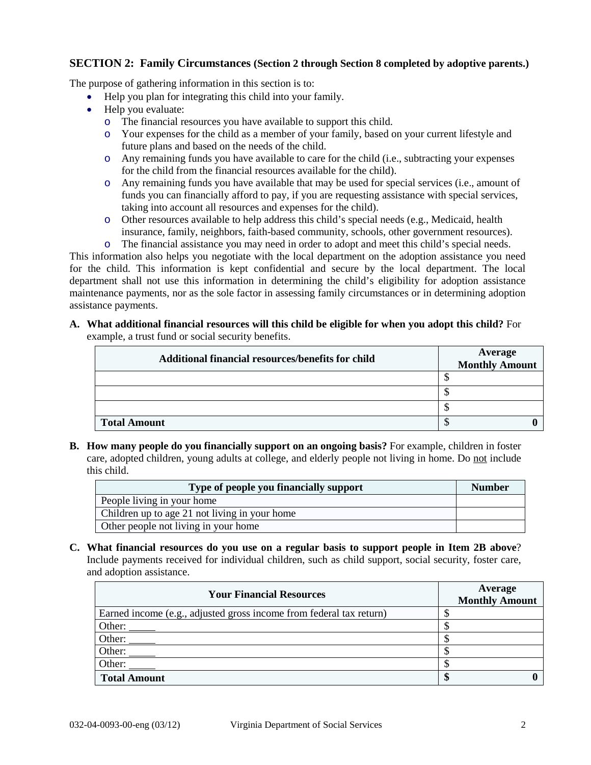## **SECTION 2: Family Circumstances (Section 2 through Section 8 completed by adoptive parents.)**

The purpose of gathering information in this section is to:

- Help you plan for integrating this child into your family.
- Help you evaluate:
	- o The financial resources you have available to support this child.
	- o Your expenses for the child as a member of your family, based on your current lifestyle and future plans and based on the needs of the child.
	- o Any remaining funds you have available to care for the child (i.e., subtracting your expenses for the child from the financial resources available for the child).
	- o Any remaining funds you have available that may be used for special services (i.e., amount of funds you can financially afford to pay, if you are requesting assistance with special services, taking into account all resources and expenses for the child).
	- o Other resources available to help address this child's special needs (e.g., Medicaid, health insurance, family, neighbors, faith-based community, schools, other government resources).
	- o The financial assistance you may need in order to adopt and meet this child's special needs.

This information also helps you negotiate with the local department on the adoption assistance you need for the child. This information is kept confidential and secure by the local department. The local department shall not use this information in determining the child's eligibility for adoption assistance maintenance payments, nor as the sole factor in assessing family circumstances or in determining adoption assistance payments.

**A. What additional financial resources will this child be eligible for when you adopt this child?** For example, a trust fund or social security benefits.

| Additional financial resources/benefits for child | <b>Average</b><br><b>Monthly Amount</b> |
|---------------------------------------------------|-----------------------------------------|
|                                                   |                                         |
|                                                   |                                         |
|                                                   | мD                                      |
| <b>Total Amount</b>                               | мD                                      |

**B. How many people do you financially support on an ongoing basis?** For example, children in foster care, adopted children, young adults at college, and elderly people not living in home. Do not include this child.

| Type of people you financially support        | <b>Number</b> |
|-----------------------------------------------|---------------|
| People living in your home                    |               |
| Children up to age 21 not living in your home |               |
| Other people not living in your home          |               |

**C. What financial resources do you use on a regular basis to support people in Item 2B above**? Include payments received for individual children, such as child support, social security, foster care, and adoption assistance.

| <b>Your Financial Resources</b>                                     | Average<br><b>Monthly Amount</b> |
|---------------------------------------------------------------------|----------------------------------|
| Earned income (e.g., adjusted gross income from federal tax return) |                                  |
| Other:                                                              |                                  |
| Other:                                                              |                                  |
| Other:                                                              |                                  |
| Other:                                                              |                                  |
| <b>Total Amount</b>                                                 | Ψ                                |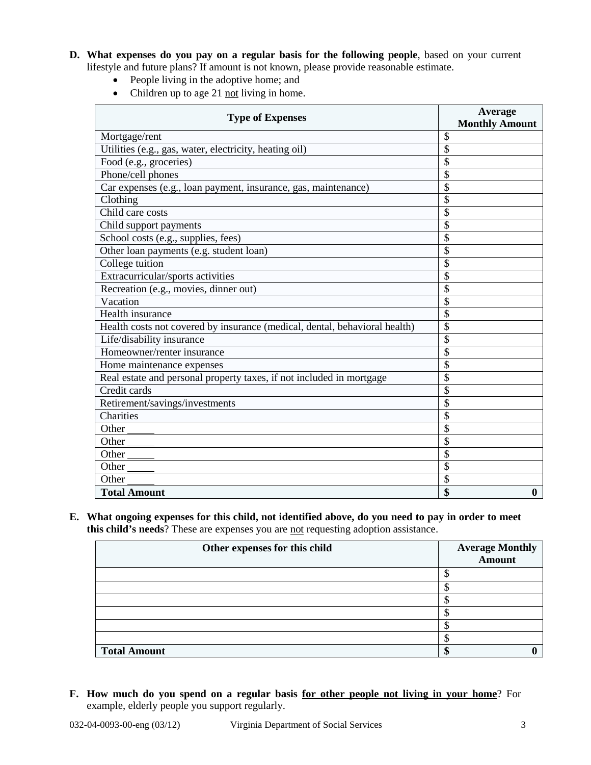- **D. What expenses do you pay on a regular basis for the following people**, based on your current lifestyle and future plans? If amount is not known, please provide reasonable estimate.
	- People living in the adoptive home; and
	- Children up to age 21 not living in home.

| <b>Type of Expenses</b>                                                    | Average<br><b>Monthly Amount</b> |  |  |  |  |
|----------------------------------------------------------------------------|----------------------------------|--|--|--|--|
| Mortgage/rent                                                              | \$                               |  |  |  |  |
| Utilities (e.g., gas, water, electricity, heating oil)                     | \$                               |  |  |  |  |
| Food (e.g., groceries)                                                     | \$                               |  |  |  |  |
| Phone/cell phones                                                          | \$                               |  |  |  |  |
| Car expenses (e.g., loan payment, insurance, gas, maintenance)             | \$                               |  |  |  |  |
| Clothing                                                                   | \$                               |  |  |  |  |
| Child care costs                                                           | \$                               |  |  |  |  |
| Child support payments                                                     | \$                               |  |  |  |  |
| School costs (e.g., supplies, fees)                                        | \$                               |  |  |  |  |
| Other loan payments (e.g. student loan)                                    | \$                               |  |  |  |  |
| College tuition                                                            | \$                               |  |  |  |  |
| Extracurricular/sports activities                                          | \$                               |  |  |  |  |
| Recreation (e.g., movies, dinner out)                                      | \$                               |  |  |  |  |
| Vacation                                                                   | \$                               |  |  |  |  |
| Health insurance                                                           | \$                               |  |  |  |  |
| Health costs not covered by insurance (medical, dental, behavioral health) | \$                               |  |  |  |  |
| Life/disability insurance                                                  | \$                               |  |  |  |  |
| Homeowner/renter insurance                                                 | \$                               |  |  |  |  |
| Home maintenance expenses                                                  | \$                               |  |  |  |  |
| Real estate and personal property taxes, if not included in mortgage       | \$                               |  |  |  |  |
| Credit cards                                                               | \$                               |  |  |  |  |
| Retirement/savings/investments                                             | \$                               |  |  |  |  |
| Charities                                                                  | \$                               |  |  |  |  |
| Other                                                                      | \$                               |  |  |  |  |
| Other                                                                      | \$                               |  |  |  |  |
| Other                                                                      | \$                               |  |  |  |  |
| Other                                                                      | \$                               |  |  |  |  |
| Other                                                                      | \$                               |  |  |  |  |
| <b>Total Amount</b>                                                        | \$<br>$\bf{0}$                   |  |  |  |  |

**E. What ongoing expenses for this child, not identified above, do you need to pay in order to meet this child's needs**? These are expenses you are not requesting adoption assistance.

| Other expenses for this child | <b>Average Monthly</b><br><b>Amount</b> |
|-------------------------------|-----------------------------------------|
|                               |                                         |
|                               |                                         |
|                               |                                         |
|                               |                                         |
|                               |                                         |
|                               |                                         |
| <b>Total Amount</b>           |                                         |

**F. How much do you spend on a regular basis for other people not living in your home**? For example, elderly people you support regularly.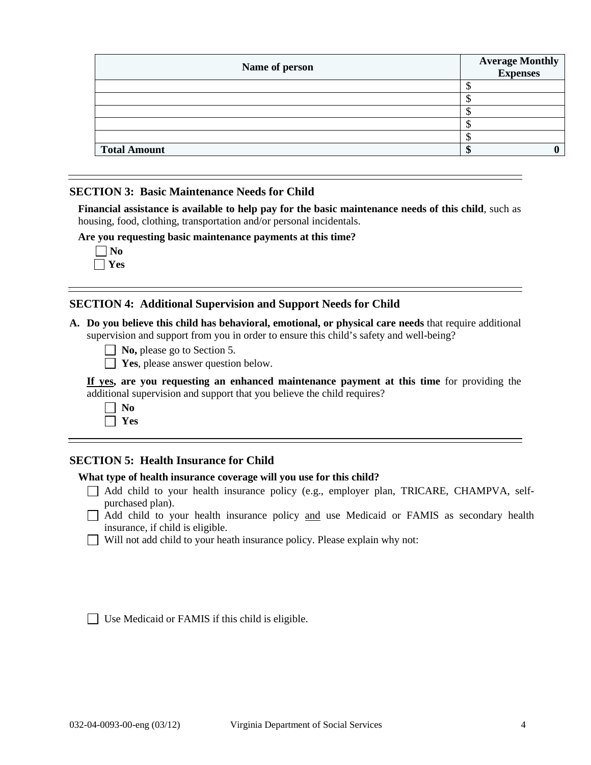| Name of person      | <b>Average Monthly<br/>Expenses</b> |
|---------------------|-------------------------------------|
|                     |                                     |
|                     |                                     |
|                     |                                     |
|                     |                                     |
|                     |                                     |
| <b>Total Amount</b> |                                     |
|                     |                                     |

#### **SECTION 3: Basic Maintenance Needs for Child**

**Financial assistance is available to help pay for the basic maintenance needs of this child**, such as housing, food, clothing, transportation and/or personal incidentals.

**Are you requesting basic maintenance payments at this time?**

|  | NO  |
|--|-----|
|  | - 8 |

## **SECTION 4: Additional Supervision and Support Needs for Child**

**A. Do you believe this child has behavioral, emotional, or physical care needs** that require additional supervision and support from you in order to ensure this child's safety and well-being?

| $\Box$ No, please go to Section 5. |
|------------------------------------|
|------------------------------------|

**T** Yes, please answer question below.

|  |  |  | If yes, are you requesting an enhanced maintenance payment at this time for providing the |  |  |  |  |
|--|--|--|-------------------------------------------------------------------------------------------|--|--|--|--|
|  |  |  | additional supervision and support that you believe the child requires?                   |  |  |  |  |

# **SECTION 5: Health Insurance for Child**

#### **What type of health insurance coverage will you use for this child?**

- Add child to your health insurance policy (e.g., employer plan, TRICARE, CHAMPVA, selfpurchased plan).
- Add child to your health insurance policy and use Medicaid or FAMIS as secondary health insurance, if child is eligible.
- Will not add child to your heath insurance policy. Please explain why not: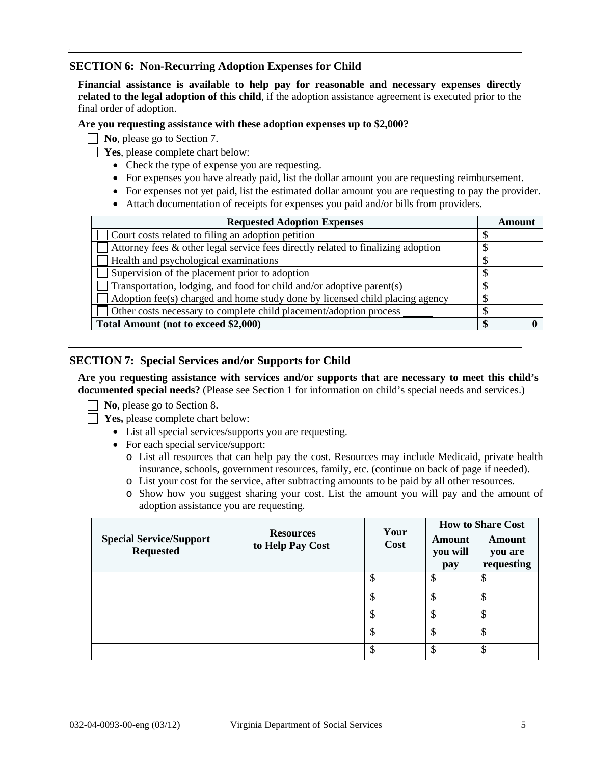## **SECTION 6: Non-Recurring Adoption Expenses for Child**

**Financial assistance is available to help pay for reasonable and necessary expenses directly related to the legal adoption of this child**, if the adoption assistance agreement is executed prior to the final order of adoption.

#### **Are you requesting assistance with these adoption expenses up to \$2,000?**

**No**, please go to Section 7.

- **Yes**, please complete chart below:
	- Check the type of expense you are requesting.
	- For expenses you have already paid, list the dollar amount you are requesting reimbursement.
	- For expenses not yet paid, list the estimated dollar amount you are requesting to pay the provider.
	- Attach documentation of receipts for expenses you paid and/or bills from providers.

| <b>Requested Adoption Expenses</b>                                               |  |
|----------------------------------------------------------------------------------|--|
| Court costs related to filing an adoption petition                               |  |
| Attorney fees & other legal service fees directly related to finalizing adoption |  |
| Health and psychological examinations                                            |  |
| Supervision of the placement prior to adoption                                   |  |
| Transportation, lodging, and food for child and/or adoptive parent(s)            |  |
| Adoption fee(s) charged and home study done by licensed child placing agency     |  |
| Other costs necessary to complete child placement/adoption process               |  |
| Total Amount (not to exceed \$2,000)                                             |  |

### **SECTION 7: Special Services and/or Supports for Child**

**Are you requesting assistance with services and/or supports that are necessary to meet this child's documented special needs?** (Please see Section 1 for information on child's special needs and services.)

**No.** please go to Section 8.

**Yes, please complete chart below:** 

- List all special services/supports you are requesting.
- For each special service/support:
	- o List all resources that can help pay the cost. Resources may include Medicaid, private health insurance, schools, government resources, family, etc. (continue on back of page if needed).
	- o List your cost for the service, after subtracting amounts to be paid by all other resources.
	- o Show how you suggest sharing your cost. List the amount you will pay and the amount of adoption assistance you are requesting.

|                                                    |                                      | Your<br>Cost | <b>How to Share Cost</b>  |                                 |
|----------------------------------------------------|--------------------------------------|--------------|---------------------------|---------------------------------|
| <b>Special Service/Support</b><br><b>Requested</b> | <b>Resources</b><br>to Help Pay Cost |              | Amount<br>you will<br>pay | Amount<br>you are<br>requesting |
|                                                    |                                      | S            | D                         | \$                              |
|                                                    |                                      |              |                           | S                               |
|                                                    |                                      | ጥ<br>D       | D                         | \$                              |
|                                                    |                                      | Φ            | ሖ<br>۰D                   | \$                              |
|                                                    |                                      | \$           | ሖ<br>ъD                   | \$                              |